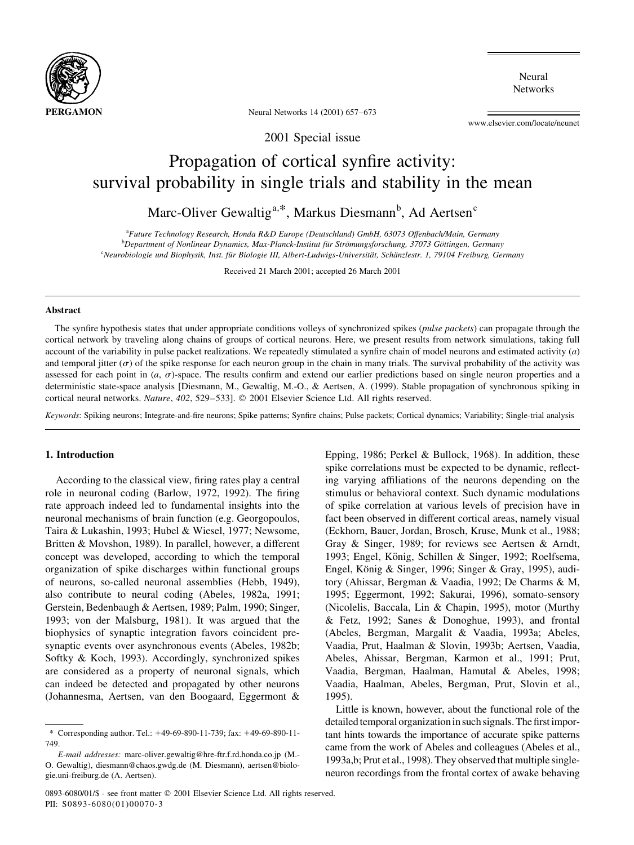

Neural **Networks** 

Neural Networks 14 (2001) 657-673

www.elsevier.com/locate/neunet

2001 Special issue

# Propagation of cortical synfire activity: survival probability in single trials and stability in the mean

Marc-Oliver Gewaltig<sup>a,\*</sup>, Markus Diesmann<sup>b</sup>, Ad Aertsen<sup>c</sup>

<sup>a</sup>Future Technology Research, Honda R&D Europe (Deutschland) GmbH, 63073 Offenbach/Main, Germany <sup>b</sup>Department of Nonlinear Dynamics, Max-Planck-Institut für Strömungsforschung, 37073 Göttingen, Germany <sup>c</sup>Neurobiologie und Biophysik, Inst. für Biologie III, Albert-Ludwigs-Universität, Schänzlestr. 1, 79104 Freiburg, Germany

Received 21 March 2001; accepted 26 March 2001

# Abstract

The synfire hypothesis states that under appropriate conditions volleys of synchronized spikes (pulse packets) can propagate through the cortical network by traveling along chains of groups of cortical neurons. Here, we present results from network simulations, taking full account of the variability in pulse packet realizations. We repeatedly stimulated a synfire chain of model neurons and estimated activity  $(a)$ and temporal jitter ( $\sigma$ ) of the spike response for each neuron group in the chain in many trials. The survival probability of the activity was assessed for each point in  $(a, \sigma)$ -space. The results confirm and extend our earlier predictions based on single neuron properties and a deterministic state-space analysis [Diesmann, M., Gewaltig, M.-O., & Aertsen, A. (1999). Stable propagation of synchronous spiking in cortical neural networks. Nature, 402, 529-533]. © 2001 Elsevier Science Ltd. All rights reserved.

Keywords: Spiking neurons; Integrate-and-fire neurons; Spike patterns; Synfire chains; Pulse packets; Cortical dynamics; Variability; Single-trial analysis

# 1. Introduction

According to the classical view, firing rates play a central role in neuronal coding (Barlow, 1972, 1992). The firing rate approach indeed led to fundamental insights into the neuronal mechanisms of brain function (e.g. Georgopoulos, Taira & Lukashin, 1993; Hubel & Wiesel, 1977; Newsome, Britten & Movshon, 1989). In parallel, however, a different concept was developed, according to which the temporal organization of spike discharges within functional groups of neurons, so-called neuronal assemblies (Hebb, 1949), also contribute to neural coding (Abeles, 1982a, 1991; Gerstein, Bedenbaugh & Aertsen, 1989; Palm, 1990; Singer, 1993; von der Malsburg, 1981). It was argued that the biophysics of synaptic integration favors coincident presynaptic events over asynchronous events (Abeles, 1982b; Softky & Koch, 1993). Accordingly, synchronized spikes are considered as a property of neuronal signals, which can indeed be detected and propagated by other neurons (Johannesma, Aertsen, van den Boogaard, Eggermont &

Epping, 1986; Perkel & Bullock, 1968). In addition, these spike correlations must be expected to be dynamic, reflecting varying affiliations of the neurons depending on the stimulus or behavioral context. Such dynamic modulations of spike correlation at various levels of precision have in fact been observed in different cortical areas, namely visual (Eckhorn, Bauer, Jordan, Brosch, Kruse, Munk et al., 1988; Gray & Singer, 1989; for reviews see Aertsen & Arndt, 1993; Engel, König, Schillen & Singer, 1992; Roelfsema, Engel, König & Singer, 1996; Singer & Gray, 1995), auditory (Ahissar, Bergman & Vaadia, 1992; De Charms & M, 1995; Eggermont, 1992; Sakurai, 1996), somato-sensory (Nicolelis, Baccala, Lin & Chapin, 1995), motor (Murthy & Fetz, 1992; Sanes & Donoghue, 1993), and frontal (Abeles, Bergman, Margalit & Vaadia, 1993a; Abeles, Vaadia, Prut, Haalman & Slovin, 1993b; Aertsen, Vaadia, Abeles, Ahissar, Bergman, Karmon et al., 1991; Prut, Vaadia, Bergman, Haalman, Hamutal & Abeles, 1998; Vaadia, Haalman, Abeles, Bergman, Prut, Slovin et al., 1995).

Little is known, however, about the functional role of the detailed temporal organization in such signals. The first important hints towards the importance of accurate spike patterns came from the work of Abeles and colleagues (Abeles et al., 1993a,b; Prut et al., 1998). They observed that multiple singleneuron recordings from the frontal cortex of awake behaving

<sup>\*</sup> Corresponding author. Tel.: +49-69-890-11-739; fax: +49-69-890-11-749

E-mail addresses: marc-oliver.gewaltig@hre-ftr.f.rd.honda.co.jp (M.-O. Gewaltig), diesmann@chaos.gwdg.de (M. Diesmann), aertsen@biologie.uni-freiburg.de (A. Aertsen).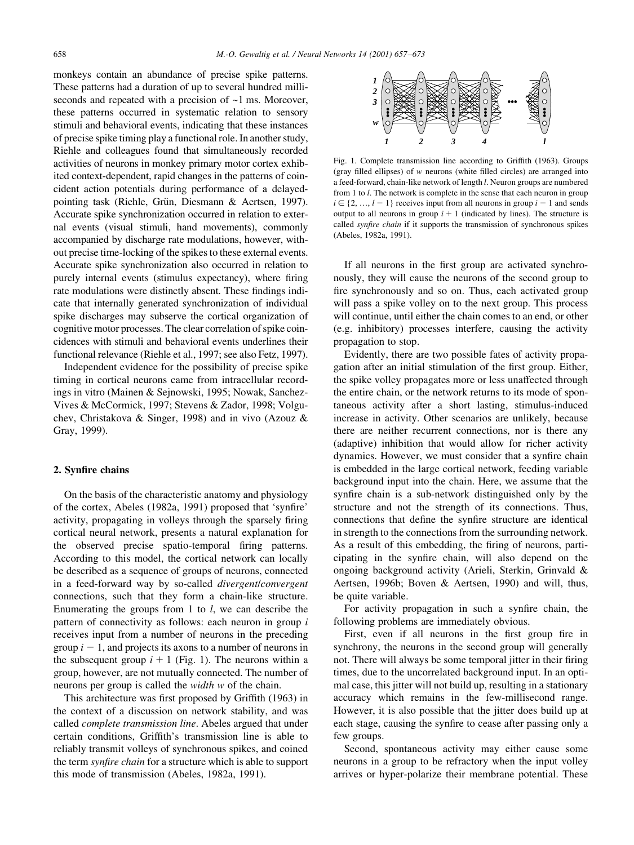monkeys contain an abundance of precise spike patterns. These patterns had a duration of up to several hundred milliseconds and repeated with a precision of  $\sim$ 1 ms. Moreover, these patterns occurred in systematic relation to sensory stimuli and behavioral events, indicating that these instances of precise spike timing play a functional role. In another study, Riehle and colleagues found that simultaneously recorded activities of neurons in monkey primary motor cortex exhibited context-dependent, rapid changes in the patterns of coincident action potentials during performance of a delayedpointing task (Riehle, Grün, Diesmann & Aertsen, 1997). Accurate spike synchronization occurred in relation to external events (visual stimuli, hand movements), commonly accompanied by discharge rate modulations, however, without precise time-locking of the spikes to these external events. Accurate spike synchronization also occurred in relation to purely internal events (stimulus expectancy), where firing rate modulations were distinctly absent. These findings indicate that internally generated synchronization of individual spike discharges may subserve the cortical organization of cognitive motor processes. The clear correlation of spike coincidences with stimuli and behavioral events underlines their functional relevance (Riehle et al., 1997; see also Fetz, 1997).

Independent evidence for the possibility of precise spike timing in cortical neurons came from intracellular recordings in vitro (Mainen & Sejnowski, 1995; Nowak, Sanchez-Vives & McCormick, 1997; Stevens & Zador, 1998; Volguchev, Christakova & Singer, 1998) and in vivo (Azouz & Gray, 1999).

#### 2. Synfire chains

On the basis of the characteristic anatomy and physiology of the cortex, Abeles (1982a, 1991) proposed that 'synfire' activity, propagating in volleys through the sparsely firing cortical neural network, presents a natural explanation for the observed precise spatio-temporal firing patterns. According to this model, the cortical network can locally be described as a sequence of groups of neurons, connected in a feed-forward way by so-called *divergentlconvergent* connections, such that they form a chain-like structure. Enumerating the groups from 1 to  $l$ , we can describe the pattern of connectivity as follows: each neuron in group i receives input from a number of neurons in the preceding group  $i - 1$ , and projects its axons to a number of neurons in the subsequent group  $i + 1$  (Fig. 1). The neurons within a group, however, are not mutually connected. The number of neurons per group is called the *width* w of the chain.

This architecture was first proposed by Griffith (1963) in the context of a discussion on network stability, and was called *complete transmission line*. Abeles argued that under certain conditions, Griffith's transmission line is able to reliably transmit volleys of synchronous spikes, and coined the term *synfire chain* for a structure which is able to support this mode of transmission (Abeles, 1982a, 1991).



Fig. 1. Complete transmission line according to Griffith (1963). Groups (gray filled ellipses) of  $w$  neurons (white filled circles) are arranged into a feed-forward, chain-like network of length *l*. Neuron groups are numbered from 1 to  $l$ . The network is complete in the sense that each neuron in group  $i \in \{2, ..., l-1\}$  receives input from all neurons in group  $i - 1$  and sends output to all neurons in group  $i + 1$  (indicated by lines). The structure is called synfire chain if it supports the transmission of synchronous spikes (Abeles, 1982a, 1991).

If all neurons in the first group are activated synchronously, they will cause the neurons of the second group to fire synchronously and so on. Thus, each activated group will pass a spike volley on to the next group. This process will continue, until either the chain comes to an end, or other (e.g. inhibitory) processes interfere, causing the activity propagation to stop.

Evidently, there are two possible fates of activity propagation after an initial stimulation of the first group. Either, the spike volley propagates more or less unaffected through the entire chain, or the network returns to its mode of spontaneous activity after a short lasting, stimulus-induced increase in activity. Other scenarios are unlikely, because there are neither recurrent connections, nor is there any (adaptive) inhibition that would allow for richer activity dynamics. However, we must consider that a synfire chain is embedded in the large cortical network, feeding variable background input into the chain. Here, we assume that the synfire chain is a sub-network distinguished only by the structure and not the strength of its connections. Thus, connections that define the synfire structure are identical in strength to the connections from the surrounding network. As a result of this embedding, the firing of neurons, participating in the synfire chain, will also depend on the ongoing background activity (Arieli, Sterkin, Grinvald & Aertsen, 1996b; Boven & Aertsen, 1990) and will, thus, be quite variable.

For activity propagation in such a synfire chain, the following problems are immediately obvious.

First, even if all neurons in the first group fire in synchrony, the neurons in the second group will generally not. There will always be some temporal jitter in their firing times, due to the uncorrelated background input. In an optimal case, this jitter will not build up, resulting in a stationary accuracy which remains in the few-millisecond range. However, it is also possible that the jitter does build up at each stage, causing the synfire to cease after passing only a few groups.

Second, spontaneous activity may either cause some neurons in a group to be refractory when the input volley arrives or hyper-polarize their membrane potential. These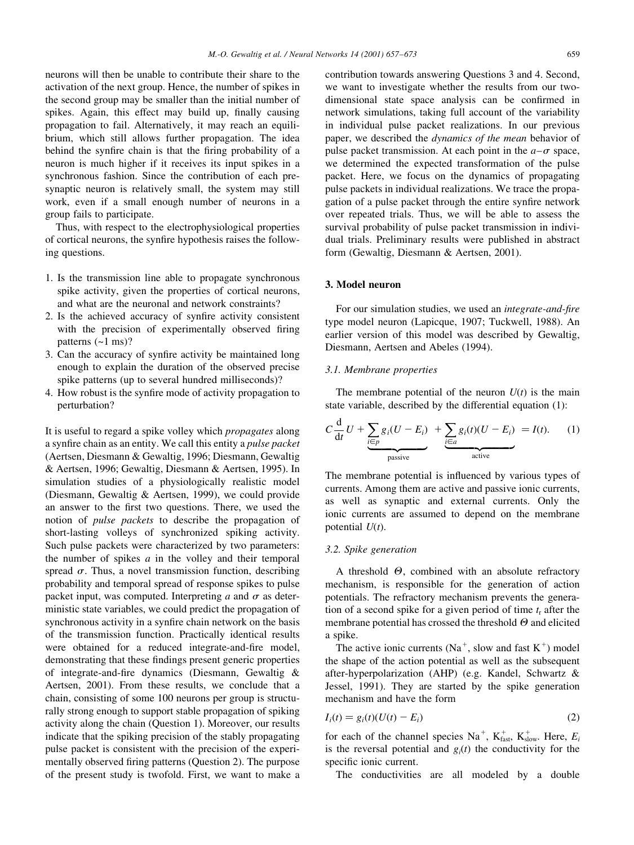neurons will then be unable to contribute their share to the activation of the next group. Hence, the number of spikes in the second group may be smaller than the initial number of spikes. Again, this effect may build up, finally causing propagation to fail. Alternatively, it may reach an equilibrium, which still allows further propagation. The idea behind the synfire chain is that the firing probability of a neuron is much higher if it receives its input spikes in a synchronous fashion. Since the contribution of each presynaptic neuron is relatively small, the system may still work, even if a small enough number of neurons in a group fails to participate.

Thus, with respect to the electrophysiological properties of cortical neurons, the synfire hypothesis raises the following questions.

- 1. Is the transmission line able to propagate synchronous spike activity, given the properties of cortical neurons, and what are the neuronal and network constraints?
- 2. Is the achieved accuracy of synfire activity consistent with the precision of experimentally observed firing patterns  $({\sim}1 \text{ ms})$ ?
- 3. Can the accuracy of synfire activity be maintained long enough to explain the duration of the observed precise spike patterns (up to several hundred milliseconds)?
- 4. How robust is the synfire mode of activity propagation to perturbation?

It is useful to regard a spike volley which *propagates* along a synfire chain as an entity. We call this entity a pulse packet (Aertsen, Diesmann & Gewaltig, 1996; Diesmann, Gewaltig & Aertsen, 1996; Gewaltig, Diesmann & Aertsen, 1995). In simulation studies of a physiologically realistic model (Diesmann, Gewaltig & Aertsen, 1999), we could provide an answer to the first two questions. There, we used the notion of *pulse packets* to describe the propagation of short-lasting volleys of synchronized spiking activity. Such pulse packets were characterized by two parameters: the number of spikes  $a$  in the volley and their temporal spread  $\sigma$ . Thus, a novel transmission function, describing probability and temporal spread of response spikes to pulse packet input, was computed. Interpreting a and  $\sigma$  as deterministic state variables, we could predict the propagation of synchronous activity in a synfire chain network on the basis of the transmission function. Practically identical results were obtained for a reduced integrate-and-fire model, demonstrating that these findings present generic properties of integrate-and-fire dynamics (Diesmann, Gewaltig & Aertsen, 2001). From these results, we conclude that a chain, consisting of some 100 neurons per group is structurally strong enough to support stable propagation of spiking activity along the chain (Question 1). Moreover, our results indicate that the spiking precision of the stably propagating pulse packet is consistent with the precision of the experimentally observed firing patterns (Question 2). The purpose of the present study is twofold. First, we want to make a

contribution towards answering Questions 3 and 4. Second, we want to investigate whether the results from our twodimensional state space analysis can be confirmed in network simulations, taking full account of the variability in individual pulse packet realizations. In our previous paper, we described the *dynamics of the mean* behavior of pulse packet transmission. At each point in the  $a-\sigma$  space, we determined the expected transformation of the pulse packet. Here, we focus on the dynamics of propagating pulse packets in individual realizations. We trace the propagation of a pulse packet through the entire synfire network over repeated trials. Thus, we will be able to assess the survival probability of pulse packet transmission in individual trials. Preliminary results were published in abstract form (Gewaltig, Diesmann & Aertsen, 2001).

# 3. Model neuron

For our simulation studies, we used an *integrate-and-fire* type model neuron (Lapicque, 1907; Tuckwell, 1988). An earlier version of this model was described by Gewaltig, Diesmann, Aertsen and Abeles (1994).

# 3.1. Membrane properties

The membrane potential of the neuron  $U(t)$  is the main state variable, described by the differential equation (1):

$$
C\frac{d}{dt}U + \underbrace{\sum_{i\in p}g_i(U - E_i)}_{\text{passive}} + \underbrace{\sum_{i\in a}g_i(t)(U - E_i)}_{\text{active}} = I(t). \tag{1}
$$

The membrane potential is influenced by various types of currents. Among them are active and passive ionic currents, as well as synaptic and external currents. Only the ionic currents are assumed to depend on the membrane potential  $U(t)$ .

# 3.2. Spike generation

A threshold  $\Theta$ , combined with an absolute refractory mechanism, is responsible for the generation of action potentials. The refractory mechanism prevents the generation of a second spike for a given period of time  $t_r$  after the membrane potential has crossed the threshold  $\Theta$  and elicited a spike.

The active ionic currents ( $Na^+$ , slow and fast  $K^+$ ) model the shape of the action potential as well as the subsequent after-hyperpolarization (AHP) (e.g. Kandel, Schwartz & Jessel, 1991). They are started by the spike generation mechanism and have the form

$$
I_i(t) = g_i(t)(U(t) - E_i)
$$
\n<sup>(2)</sup>

for each of the channel species Na<sup>+</sup>, K<sub>fast</sub>, K<sub>slow</sub>. Here, E<sub>i</sub> is the reversal potential and  $g_i(t)$  the conductivity for the specific ionic current.

The conductivities are all modeled by a double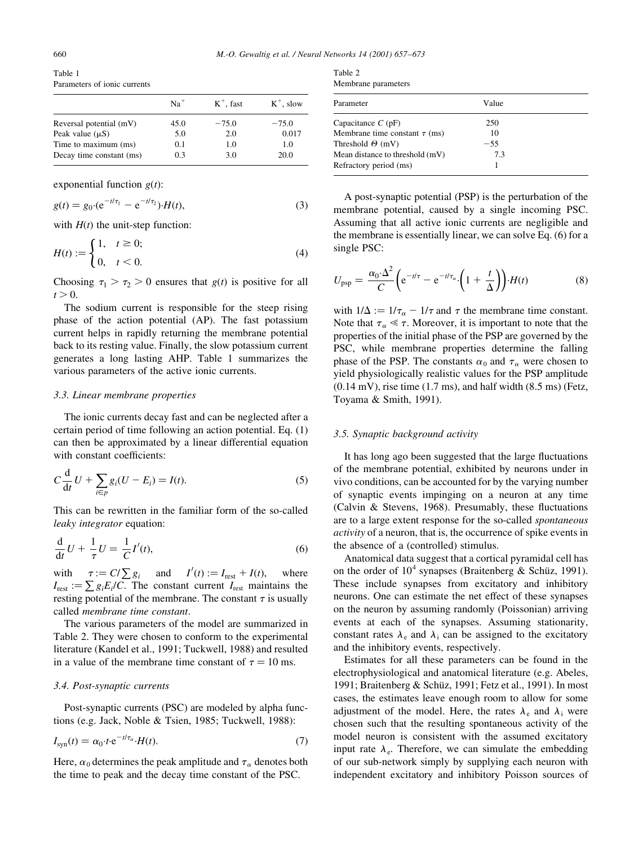Table 1 Parameters of ionic currents

|                          | $Na+$ | $K^+$ , fast | $K^+$ , slow |
|--------------------------|-------|--------------|--------------|
| Reversal potential (mV)  | 45.0  | $-75.0$      | $-75.0$      |
| Peak value $(\mu S)$     | 5.0   | 2.0          | 0.017        |
| Time to maximum (ms)     | 0.1   | 1.0          | 1.0          |
| Decay time constant (ms) | 0.3   | 3.0          | 20.0         |

exponential function  $g(t)$ :

$$
g(t) = g_0 \cdot (e^{-t/\tau_1} - e^{-t/\tau_2}) \cdot H(t), \tag{3}
$$

with  $H(t)$  the unit-step function:

$$
H(t) := \begin{cases} 1, & t \ge 0; \\ 0, & t < 0. \end{cases}
$$
 (4)

Choosing  $\tau_1 > \tau_2 > 0$  ensures that  $g(t)$  is positive for all  $t > 0$ .

The sodium current is responsible for the steep rising phase of the action potential (AP). The fast potassium current helps in rapidly returning the membrane potential back to its resting value. Finally, the slow potassium current generates a long lasting AHP. Table 1 summarizes the various parameters of the active ionic currents.

# 3.3. Linear membrane properties

The ionic currents decay fast and can be neglected after a certain period of time following an action potential. Eq. (1) can then be approximated by a linear differential equation with constant coefficients:

$$
C\frac{\mathrm{d}}{\mathrm{d}t}U + \sum_{i \in p} g_i(U - E_i) = I(t). \tag{5}
$$

This can be rewritten in the familiar form of the so-called *leaky integrator* equation:

$$
\frac{\mathrm{d}}{\mathrm{d}t}U + \frac{1}{\tau}U = \frac{1}{C}I'(t),\tag{6}
$$

with  $\tau := C/\sum g_i$  and  $I'(t) := I_{\text{rest}} + I(t)$ , where  $I_{\text{rest}} := \sum g_i E_i / C$ . The constant current  $I_{\text{rest}}$  maintains the resting potential of the membrane. The constant  $\tau$  is usually called membrane time constant.

The various parameters of the model are summarized in Table 2. They were chosen to conform to the experimental literature (Kandel et al., 1991; Tuckwell, 1988) and resulted in a value of the membrane time constant of  $\tau = 10$  ms.

#### 3.4. Post-synaptic currents

Post-synaptic currents (PSC) are modeled by alpha functions (e.g. Jack, Noble & Tsien, 1985; Tuckwell, 1988):

$$
I_{\text{syn}}(t) = \alpha_0 \cdot t \cdot e^{-t/\tau_\alpha} \cdot H(t). \tag{7}
$$

Here,  $\alpha_0$  determines the peak amplitude and  $\tau_\alpha$  denotes both the time to peak and the decay time constant of the PSC.

| Table 2             |  |
|---------------------|--|
| Membrane parameters |  |

| Parameter                          | Value |  |
|------------------------------------|-------|--|
| Capacitance $C(pF)$                | 250   |  |
| Membrane time constant $\tau$ (ms) | 10    |  |
| Threshold $\Theta$ (mV)            | $-55$ |  |
| Mean distance to threshold (mV)    | 73    |  |
| Refractory period (ms)             |       |  |
|                                    |       |  |

A post-synaptic potential (PSP) is the perturbation of the membrane potential, caused by a single incoming PSC. Assuming that all active ionic currents are negligible and the membrane is essentially linear, we can solve Eq. (6) for a single PSC:

$$
U_{\rm psp} = \frac{\alpha_0 \cdot \Delta^2}{C} \left( e^{-t/\tau} - e^{-t/\tau_a} \cdot \left( 1 + \frac{t}{\Delta} \right) \right) \cdot H(t) \tag{8}
$$

with  $1/\Delta := 1/\tau_\alpha - 1/\tau$  and  $\tau$  the membrane time constant. Note that  $\tau_{\alpha} \ll \tau$ . Moreover, it is important to note that the properties of the initial phase of the PSP are governed by the PSC, while membrane properties determine the falling phase of the PSP. The constants  $\alpha_0$  and  $\tau_\alpha$  were chosen to yield physiologically realistic values for the PSP amplitude  $(0.14 \text{ mV})$ , rise time  $(1.7 \text{ ms})$ , and half width  $(8.5 \text{ ms})$  (Fetz, Toyama & Smith, 1991).

#### 3.5. Synaptic background activity

It has long ago been suggested that the large fluctuations of the membrane potential, exhibited by neurons under in vivo conditions, can be accounted for by the varying number of synaptic events impinging on a neuron at any time (Calvin & Stevens, 1968). Presumably, these fluctuations are to a large extent response for the so-called spontaneous *activity* of a neuron, that is, the occurrence of spike events in the absence of a (controlled) stimulus.

Anatomical data suggest that a cortical pyramidal cell has on the order of  $10^4$  synapses (Braitenberg & Schüz, 1991). These include synapses from excitatory and inhibitory neurons. One can estimate the net effect of these synapses on the neuron by assuming randomly (Poissonian) arriving events at each of the synapses. Assuming stationarity, constant rates  $\lambda_e$  and  $\lambda_i$  can be assigned to the excitatory and the inhibitory events, respectively.

Estimates for all these parameters can be found in the electrophysiological and anatomical literature (e.g. Abeles, 1991; Braitenberg & Schüz, 1991; Fetz et al., 1991). In most cases, the estimates leave enough room to allow for some adjustment of the model. Here, the rates  $\lambda_e$  and  $\lambda_i$  were chosen such that the resulting spontaneous activity of the model neuron is consistent with the assumed excitatory input rate  $\lambda_e$ . Therefore, we can simulate the embedding of our sub-network simply by supplying each neuron with independent excitatory and inhibitory Poisson sources of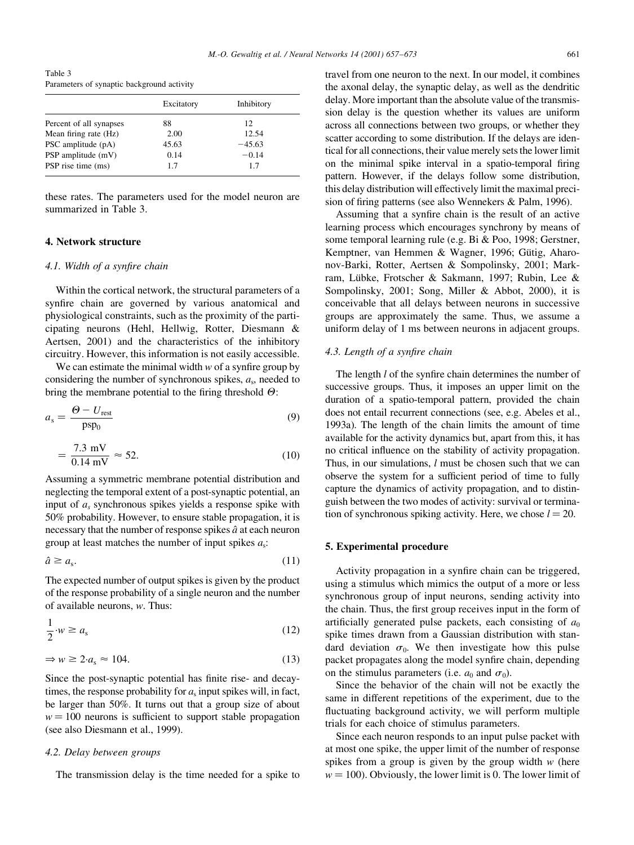Table 3 Parameters of synaptic background activity

| Excitatory | Inhibitory |
|------------|------------|
| 88         | 12         |
| 2.00       | 12.54      |
| 45.63      | $-45.63$   |
| 0.14       | $-0.14$    |
| 1.7        | 1.7        |
|            |            |

these rates. The parameters used for the model neuron are summarized in Table 3.

# 4. Network structure

# 4.1. Width of a synfire chain

Within the cortical network, the structural parameters of a synfire chain are governed by various anatomical and physiological constraints, such as the proximity of the participating neurons (Hehl, Hellwig, Rotter, Diesmann & Aertsen, 2001) and the characteristics of the inhibitory circuitry. However, this information is not easily accessible.

We can estimate the minimal width  $w$  of a synfire group by considering the number of synchronous spikes,  $a_s$ , needed to bring the membrane potential to the firing threshold  $\Theta$ :

$$
a_{\rm s} = \frac{\Theta - U_{\rm rest}}{\text{psp}_0} \tag{9}
$$

$$
=\frac{7.3 \text{ mV}}{0.14 \text{ mV}} \approx 52. \tag{10}
$$

Assuming a symmetric membrane potential distribution and neglecting the temporal extent of a post-synaptic potential, an input of  $a_s$  synchronous spikes yields a response spike with 50% probability. However, to ensure stable propagation, it is necessary that the number of response spikes  $\hat{a}$  at each neuron group at least matches the number of input spikes  $a_s$ .

$$
\hat{a} \ge a_{\rm s}.\tag{11}
$$

The expected number of output spikes is given by the product of the response probability of a single neuron and the number of available neurons,  $w$ . Thus:

$$
\frac{1}{2} \cdot w \ge a_{\rm s} \tag{12}
$$

$$
\Rightarrow w \ge 2 \cdot a_s \approx 104. \tag{13}
$$

Since the post-synaptic potential has finite rise- and decaytimes, the response probability for  $a_s$  input spikes will, in fact, be larger than 50%. It turns out that a group size of about  $w = 100$  neurons is sufficient to support stable propagation (see also Diesmann et al., 1999).

# 4.2. Delay between groups

The transmission delay is the time needed for a spike to

travel from one neuron to the next. In our model, it combines the axonal delay, the synaptic delay, as well as the dendritic delay. More important than the absolute value of the transmission delay is the question whether its values are uniform across all connections between two groups, or whether they scatter according to some distribution. If the delays are identical for all connections, their value merely sets the lower limit on the minimal spike interval in a spatio-temporal firing pattern. However, if the delays follow some distribution, this delay distribution will effectively limit the maximal precision of firing patterns (see also Wennekers & Palm, 1996).

Assuming that a synfire chain is the result of an active learning process which encourages synchrony by means of some temporal learning rule (e.g. Bi & Poo, 1998; Gerstner, Kemptner, van Hemmen & Wagner, 1996; Gütig, Aharonov-Barki, Rotter, Aertsen & Sompolinsky, 2001; Markram, Lübke, Frotscher & Sakmann, 1997; Rubin, Lee & Sompolinsky, 2001; Song, Miller & Abbot, 2000), it is conceivable that all delays between neurons in successive groups are approximately the same. Thus, we assume a uniform delay of 1 ms between neurons in adjacent groups.

# 4.3. Length of a synfire chain

The length *l* of the synfire chain determines the number of successive groups. Thus, it imposes an upper limit on the duration of a spatio-temporal pattern, provided the chain does not entail recurrent connections (see, e.g. Abeles et al., 1993a). The length of the chain limits the amount of time available for the activity dynamics but, apart from this, it has no critical influence on the stability of activity propagation. Thus, in our simulations, *l* must be chosen such that we can observe the system for a sufficient period of time to fully capture the dynamics of activity propagation, and to distinguish between the two modes of activity: survival or termination of synchronous spiking activity. Here, we chose  $l = 20$ .

# 5. Experimental procedure

Activity propagation in a synfire chain can be triggered. using a stimulus which mimics the output of a more or less synchronous group of input neurons, sending activity into the chain. Thus, the first group receives input in the form of artificially generated pulse packets, each consisting of  $a_0$ spike times drawn from a Gaussian distribution with standard deviation  $\sigma_0$ . We then investigate how this pulse packet propagates along the model synfire chain, depending on the stimulus parameters (i.e.  $a_0$  and  $\sigma_0$ ).

Since the behavior of the chain will not be exactly the same in different repetitions of the experiment, due to the fluctuating background activity, we will perform multiple trials for each choice of stimulus parameters.

Since each neuron responds to an input pulse packet with at most one spike, the upper limit of the number of response spikes from a group is given by the group width  $w$  (here  $w = 100$ ). Obviously, the lower limit is 0. The lower limit of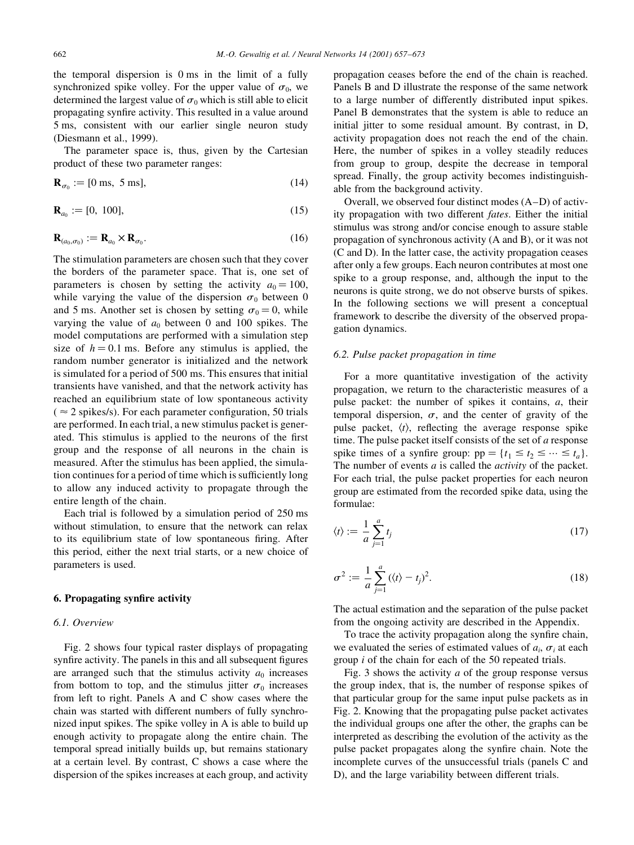the temporal dispersion is 0 ms in the limit of a fully synchronized spike volley. For the upper value of  $\sigma_0$ , we determined the largest value of  $\sigma_0$  which is still able to elicit propagating synfire activity. This resulted in a value around 5 ms, consistent with our earlier single neuron study (Diesmann et al., 1999).

The parameter space is, thus, given by the Cartesian product of these two parameter ranges:

$$
\mathbf{R}_{\sigma_0} := [0 \text{ ms}, 5 \text{ ms}], \tag{14}
$$

$$
\mathbf{R}_{a_0} := [0, 100],\tag{15}
$$

$$
\mathbf{R}_{(a_0, \sigma_0)} := \mathbf{R}_{a_0} \times \mathbf{R}_{\sigma_0}.
$$
 (16)

The stimulation parameters are chosen such that they cover the borders of the parameter space. That is, one set of parameters is chosen by setting the activity  $a_0 = 100$ , while varying the value of the dispersion  $\sigma_0$  between 0 and 5 ms. Another set is chosen by setting  $\sigma_0 = 0$ , while varying the value of  $a_0$  between 0 and 100 spikes. The model computations are performed with a simulation step size of  $h = 0.1$  ms. Before any stimulus is applied, the random number generator is initialized and the network is simulated for a period of 500 ms. This ensures that initial transients have vanished, and that the network activity has reached an equilibrium state of low spontaneous activity ( $\approx$  2 spikes/s). For each parameter configuration, 50 trials are performed. In each trial, a new stimulus packet is generated. This stimulus is applied to the neurons of the first group and the response of all neurons in the chain is measured. After the stimulus has been applied, the simulation continues for a period of time which is sufficiently long to allow any induced activity to propagate through the entire length of the chain.

Each trial is followed by a simulation period of 250 ms without stimulation, to ensure that the network can relax to its equilibrium state of low spontaneous firing. After this period, either the next trial starts, or a new choice of parameters is used.

# 6. Propagating synfire activity

### 6.1. Overview

Fig. 2 shows four typical raster displays of propagating synfire activity. The panels in this and all subsequent figures are arranged such that the stimulus activity  $a_0$  increases from bottom to top, and the stimulus jitter  $\sigma_0$  increases from left to right. Panels A and C show cases where the chain was started with different numbers of fully synchronized input spikes. The spike volley in A is able to build up enough activity to propagate along the entire chain. The temporal spread initially builds up, but remains stationary at a certain level. By contrast, C shows a case where the dispersion of the spikes increases at each group, and activity propagation ceases before the end of the chain is reached. Panels B and D illustrate the response of the same network to a large number of differently distributed input spikes. Panel B demonstrates that the system is able to reduce an initial jitter to some residual amount. By contrast, in D, activity propagation does not reach the end of the chain. Here, the number of spikes in a volley steadily reduces from group to group, despite the decrease in temporal spread. Finally, the group activity becomes indistinguishable from the background activity.

Overall, we observed four distinct modes (A–D) of activity propagation with two different fates. Either the initial stimulus was strong and/or concise enough to assure stable propagation of synchronous activity (A and B), or it was not (C and D). In the latter case, the activity propagation ceases after only a few groups. Each neuron contributes at most one spike to a group response, and, although the input to the neurons is quite strong, we do not observe bursts of spikes. In the following sections we will present a conceptual framework to describe the diversity of the observed propagation dynamics.

# 6.2. Pulse packet propagation in time

For a more quantitative investigation of the activity propagation, we return to the characteristic measures of a pulse packet: the number of spikes it contains,  $a$ , their temporal dispersion,  $\sigma$ , and the center of gravity of the pulse packet,  $\langle t \rangle$ , reflecting the average response spike time. The pulse packet itself consists of the set of  $a$  response spike times of a synfire group:  $pp = \{t_1 \le t_2 \le \dots \le t_a\}.$ The number of events  $a$  is called the *activity* of the packet. For each trial, the pulse packet properties for each neuron group are estimated from the recorded spike data, using the formulae:

$$
\langle t \rangle := \frac{1}{a} \sum_{j=1}^{a} t_j \tag{17}
$$

$$
\sigma^2 := \frac{1}{a} \sum_{j=1}^a (\langle t \rangle - t_j)^2.
$$
 (18)

The actual estimation and the separation of the pulse packet from the ongoing activity are described in the Appendix.

To trace the activity propagation along the synfire chain, we evaluated the series of estimated values of  $a_i$ ,  $\sigma_i$  at each group  $i$  of the chain for each of the 50 repeated trials.

Fig. 3 shows the activity  $a$  of the group response versus the group index, that is, the number of response spikes of that particular group for the same input pulse packets as in Fig. 2. Knowing that the propagating pulse packet activates the individual groups one after the other, the graphs can be interpreted as describing the evolution of the activity as the pulse packet propagates along the synfire chain. Note the incomplete curves of the unsuccessful trials (panels C and D), and the large variability between different trials.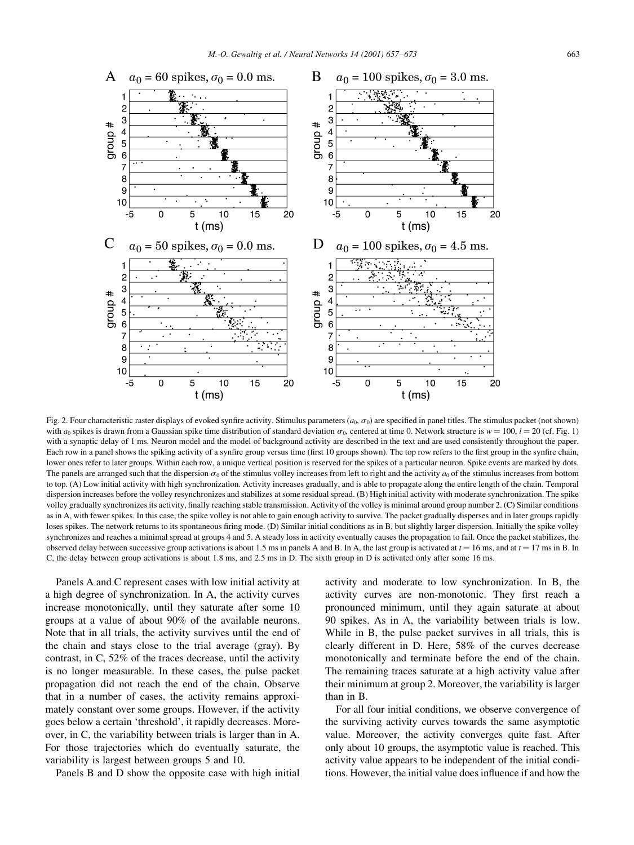

Fig. 2. Four characteristic raster displays of evoked synfire activity. Stimulus parameters  $(a_0, \sigma_0)$  are specified in panel titles. The stimulus packet (not shown) with  $a_0$  spikes is drawn from a Gaussian spike time distribution of standard deviation  $\sigma_0$ , centered at time 0. Network structure is  $w = 100$ ,  $l = 20$  (cf. Fig. 1) with a synaptic delay of 1 ms. Neuron model and the model of background activity are described in the text and are used consistently throughout the paper. Each row in a panel shows the spiking activity of a synfire group versus time (first 10 groups shown). The top row refers to the first group in the synfire chain, lower ones refer to later groups. Within each row, a unique vertical position is reserved for the spikes of a particular neuron. Spike events are marked by dots. The panels are arranged such that the dispersion  $\sigma_0$  of the stimulus volley increases from left to right and the activity  $a_0$  of the stimulus increases from bottom to top. (A) Low initial activity with high synchronization. Activity increases gradually, and is able to propagate along the entire length of the chain. Temporal dispersion increases before the volley resynchronizes and stabilizes at some residual spread. (B) High initial activity with moderate synchronization. The spike volley gradually synchronizes its activity, finally reaching stable transmission. Activity of the volley is minimal around group number 2. (C) Similar conditions as in A, with fewer spikes. In this case, the spike volley is not able to gain enough activity to survive. The packet gradually disperses and in later groups rapidly loses spikes. The network returns to its spontaneous firing mode. (D) Similar initial conditions as in B, but slightly larger dispersion. Initially the spike volley synchronizes and reaches a minimal spread at groups 4 and 5. A steady loss in activity eventually causes the propagation to fail. Once the packet stabilizes, the observed delay between successive group activations is about 1.5 ms in panels A and B. In A, the last group is activated at  $t = 16$  ms, and at  $t = 17$  ms in B. In C, the delay between group activations is about 1.8 ms, and 2.5 ms in D. The sixth group in D is activated only after some 16 ms.

Panels A and C represent cases with low initial activity at a high degree of synchronization. In A, the activity curves increase monotonically, until they saturate after some 10 groups at a value of about 90% of the available neurons. Note that in all trials, the activity survives until the end of the chain and stays close to the trial average (gray). By contrast, in C, 52% of the traces decrease, until the activity is no longer measurable. In these cases, the pulse packet propagation did not reach the end of the chain. Observe that in a number of cases, the activity remains approximately constant over some groups. However, if the activity goes below a certain 'threshold', it rapidly decreases. Moreover, in C, the variability between trials is larger than in A. For those trajectories which do eventually saturate, the variability is largest between groups 5 and 10.

Panels B and D show the opposite case with high initial

activity and moderate to low synchronization. In B, the activity curves are non-monotonic. They first reach a pronounced minimum, until they again saturate at about 90 spikes. As in A, the variability between trials is low. While in B, the pulse packet survives in all trials, this is clearly different in D. Here, 58% of the curves decrease monotonically and terminate before the end of the chain. The remaining traces saturate at a high activity value after their minimum at group 2. Moreover, the variability is larger than in B.

For all four initial conditions, we observe convergence of the surviving activity curves towards the same asymptotic value. Moreover, the activity converges quite fast. After only about 10 groups, the asymptotic value is reached. This activity value appears to be independent of the initial conditions. However, the initial value does influence if and how the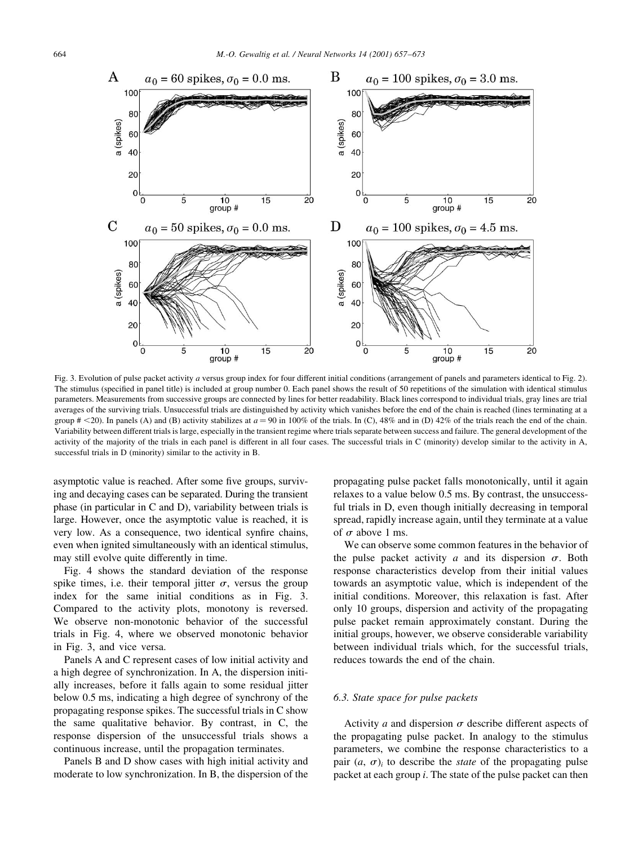

Fig. 3. Evolution of pulse packet activity a versus group index for four different initial conditions (arrangement of panels and parameters identical to Fig. 2). The stimulus (specified in panel title) is included at group number 0. Each panel shows the result of 50 repetitions of the simulation with identical stimulus parameters. Measurements from successive groups are connected by lines for better readability. Black lines correspond to individual trials, gray lines are trial averages of the surviving trials. Unsuccessful trials are distinguished by activity which vanishes before the end of the chain is reached (lines terminating at a group  $\# \le 20$ ). In panels (A) and (B) activity stabilizes at  $a = 90$  in 100% of the trials. In (C), 48% and in (D) 42% of the trials reach the end of the chain. Variability between different trials is large, especially in the transient regime where trials separate between success and failure. The general development of the activity of the majority of the trials in each panel is different in all four cases. The successful trials in C (minority) develop similar to the activity in A, successful trials in D (minority) similar to the activity in B.

asymptotic value is reached. After some five groups, surviving and decaying cases can be separated. During the transient phase (in particular in C and D), variability between trials is large. However, once the asymptotic value is reached, it is very low. As a consequence, two identical synfire chains, even when ignited simultaneously with an identical stimulus, may still evolve quite differently in time.

Fig. 4 shows the standard deviation of the response spike times, i.e. their temporal iitter  $\sigma$ , versus the group index for the same initial conditions as in Fig. 3. Compared to the activity plots, monotony is reversed. We observe non-monotonic behavior of the successful trials in Fig. 4, where we observed monotonic behavior in Fig. 3, and vice versa.

Panels A and C represent cases of low initial activity and a high degree of synchronization. In A, the dispersion initially increases, before it falls again to some residual jitter below 0.5 ms, indicating a high degree of synchrony of the propagating response spikes. The successful trials in C show the same qualitative behavior. By contrast, in C, the response dispersion of the unsuccessful trials shows a continuous increase, until the propagation terminates.

Panels B and D show cases with high initial activity and moderate to low synchronization. In B, the dispersion of the propagating pulse packet falls monotonically, until it again relaxes to a value below 0.5 ms. By contrast, the unsuccessful trials in D, even though initially decreasing in temporal spread, rapidly increase again, until they terminate at a value of  $\sigma$  above 1 ms.

We can observe some common features in the behavior of the pulse packet activity  $a$  and its dispersion  $\sigma$ . Both response characteristics develop from their initial values towards an asymptotic value, which is independent of the initial conditions. Moreover, this relaxation is fast. After only 10 groups, dispersion and activity of the propagating pulse packet remain approximately constant. During the initial groups, however, we observe considerable variability between individual trials which, for the successful trials, reduces towards the end of the chain.

#### 6.3. State space for pulse packets

Activity *a* and dispersion  $\sigma$  describe different aspects of the propagating pulse packet. In analogy to the stimulus parameters, we combine the response characteristics to a pair  $(a, \sigma)$  to describe the *state* of the propagating pulse packet at each group  $i$ . The state of the pulse packet can then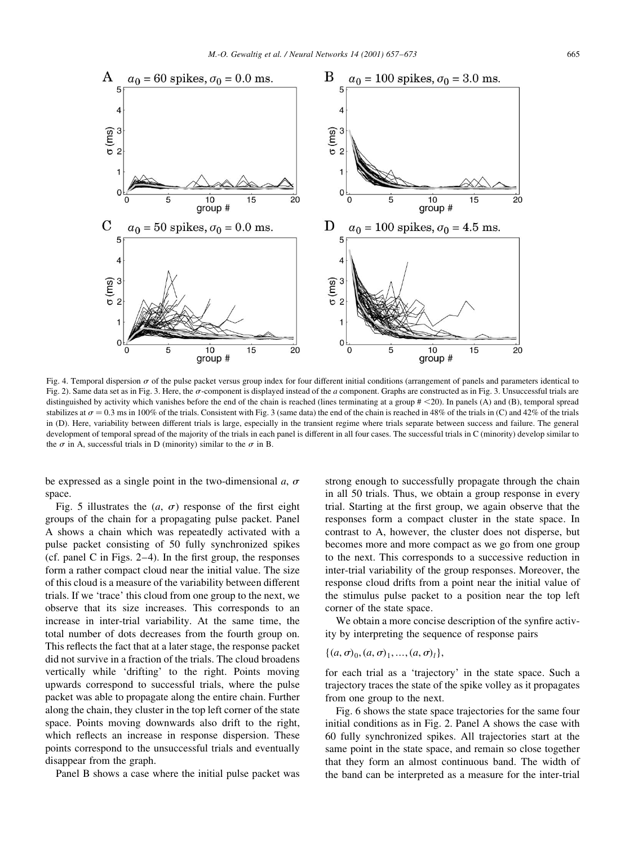

Fig. 4. Temporal dispersion  $\sigma$  of the pulse packet versus group index for four different initial conditions (arrangement of panels and parameters identical to Fig. 2). Same data set as in Fig. 3. Here, the  $\sigma$ -component is displayed instead of the a component. Graphs are constructed as in Fig. 3. Unsuccessful trials are distinguished by activity which vanishes before the end of the chain is reached (lines terminating at a group  $\#$  <20). In panels (A) and (B), temporal spread stabilizes at  $\sigma = 0.3$  ms in 100% of the trials. Consistent with Fig. 3 (same data) the end of the chain is reached in 48% of the trials in (C) and 42% of the trials in (D). Here, variability between different trials is large, especially in the transient regime where trials separate between success and failure. The general development of temporal spread of the majority of the trials in each panel is different in all four cases. The successful trials in C (minority) develop similar to the  $\sigma$  in A, successful trials in D (minority) similar to the  $\sigma$  in B.

be expressed as a single point in the two-dimensional a,  $\sigma$ space.

Fig. 5 illustrates the  $(a, \sigma)$  response of the first eight groups of the chain for a propagating pulse packet. Panel A shows a chain which was repeatedly activated with a pulse packet consisting of 50 fully synchronized spikes (cf. panel C in Figs.  $2-4$ ). In the first group, the responses form a rather compact cloud near the initial value. The size of this cloud is a measure of the variability between different trials. If we 'trace' this cloud from one group to the next, we observe that its size increases. This corresponds to an increase in inter-trial variability. At the same time, the total number of dots decreases from the fourth group on. This reflects the fact that at a later stage, the response packet did not survive in a fraction of the trials. The cloud broadens vertically while 'drifting' to the right. Points moving upwards correspond to successful trials, where the pulse packet was able to propagate along the entire chain. Further along the chain, they cluster in the top left corner of the state space. Points moving downwards also drift to the right, which reflects an increase in response dispersion. These points correspond to the unsuccessful trials and eventually disappear from the graph.

Panel B shows a case where the initial pulse packet was

strong enough to successfully propagate through the chain in all 50 trials. Thus, we obtain a group response in every trial. Starting at the first group, we again observe that the responses form a compact cluster in the state space. In contrast to A, however, the cluster does not disperse, but becomes more and more compact as we go from one group to the next. This corresponds to a successive reduction in inter-trial variability of the group responses. Moreover, the response cloud drifts from a point near the initial value of the stimulus pulse packet to a position near the top left corner of the state space.

We obtain a more concise description of the synfire activity by interpreting the sequence of response pairs

$$
\{(a, \sigma)_0, (a, \sigma)_1, ..., (a, \sigma)_l\},\
$$

for each trial as a 'trajectory' in the state space. Such a trajectory traces the state of the spike volley as it propagates from one group to the next.

Fig. 6 shows the state space trajectories for the same four initial conditions as in Fig. 2. Panel A shows the case with 60 fully synchronized spikes. All trajectories start at the same point in the state space, and remain so close together that they form an almost continuous band. The width of the band can be interpreted as a measure for the inter-trial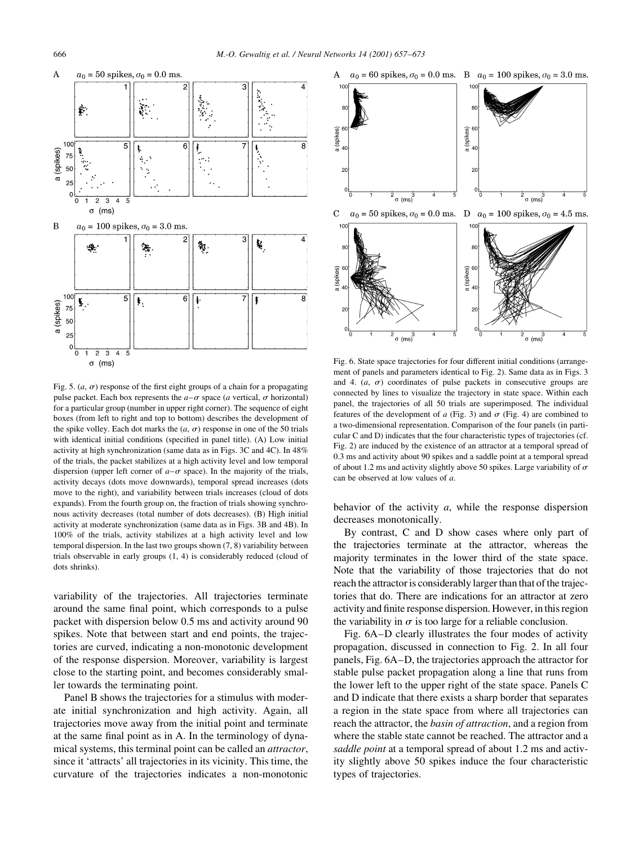

Fig. 5.  $(a, \sigma)$  response of the first eight groups of a chain for a propagating pulse packet. Each box represents the  $a-\sigma$  space (a vertical,  $\sigma$  horizontal) for a particular group (number in upper right corner). The sequence of eight boxes (from left to right and top to bottom) describes the development of the spike volley. Each dot marks the  $(a, \sigma)$  response in one of the 50 trials with identical initial conditions (specified in panel title). (A) Low initial activity at high synchronization (same data as in Figs. 3C and 4C). In 48% of the trials, the packet stabilizes at a high activity level and low temporal dispersion (upper left corner of  $a-\sigma$  space). In the majority of the trials, activity decays (dots move downwards), temporal spread increases (dots move to the right), and variability between trials increases (cloud of dots expands). From the fourth group on, the fraction of trials showing synchronous activity decreases (total number of dots decreases). (B) High initial activity at moderate synchronization (same data as in Figs. 3B and 4B). In 100% of the trials, activity stabilizes at a high activity level and low temporal dispersion. In the last two groups shown  $(7, 8)$  variability between trials observable in early groups  $(1, 4)$  is considerably reduced (cloud of dots shrinks)

variability of the trajectories. All trajectories terminate around the same final point, which corresponds to a pulse packet with dispersion below 0.5 ms and activity around 90 spikes. Note that between start and end points, the trajectories are curved, indicating a non-monotonic development of the response dispersion. Moreover, variability is largest close to the starting point, and becomes considerably smaller towards the terminating point.

Panel B shows the trajectories for a stimulus with moderate initial synchronization and high activity. Again, all trajectories move away from the initial point and terminate at the same final point as in A. In the terminology of dynamical systems, this terminal point can be called an *attractor*, since it 'attracts' all trajectories in its vicinity. This time, the curvature of the trajectories indicates a non-monotonic



Fig. 6. State space trajectories for four different initial conditions (arrangement of panels and parameters identical to Fig. 2). Same data as in Figs. 3 and 4.  $(a, \sigma)$  coordinates of pulse packets in consecutive groups are connected by lines to visualize the trajectory in state space. Within each panel, the trajectories of all 50 trials are superimposed. The individual features of the development of  $a$  (Fig. 3) and  $\sigma$  (Fig. 4) are combined to a two-dimensional representation. Comparison of the four panels (in particular C and D) indicates that the four characteristic types of trajectories (cf. Fig. 2) are induced by the existence of an attractor at a temporal spread of 0.3 ms and activity about 90 spikes and a saddle point at a temporal spread of about 1.2 ms and activity slightly above 50 spikes. Large variability of  $\sigma$ can be observed at low values of  $a$ .

behavior of the activity  $a$ , while the response dispersion decreases monotonically.

By contrast, C and D show cases where only part of the trajectories terminate at the attractor, whereas the majority terminates in the lower third of the state space. Note that the variability of those trajectories that do not reach the attractor is considerably larger than that of the trajectories that do. There are indications for an attractor at zero activity and finite response dispersion. However, in this region the variability in  $\sigma$  is too large for a reliable conclusion.

Fig. 6A–D clearly illustrates the four modes of activity propagation, discussed in connection to Fig. 2. In all four panels, Fig. 6A–D, the trajectories approach the attractor for stable pulse packet propagation along a line that runs from the lower left to the upper right of the state space. Panels C and D indicate that there exists a sharp border that separates a region in the state space from where all trajectories can reach the attractor, the *basin of attraction*, and a region from where the stable state cannot be reached. The attractor and a saddle point at a temporal spread of about 1.2 ms and activity slightly above 50 spikes induce the four characteristic types of trajectories.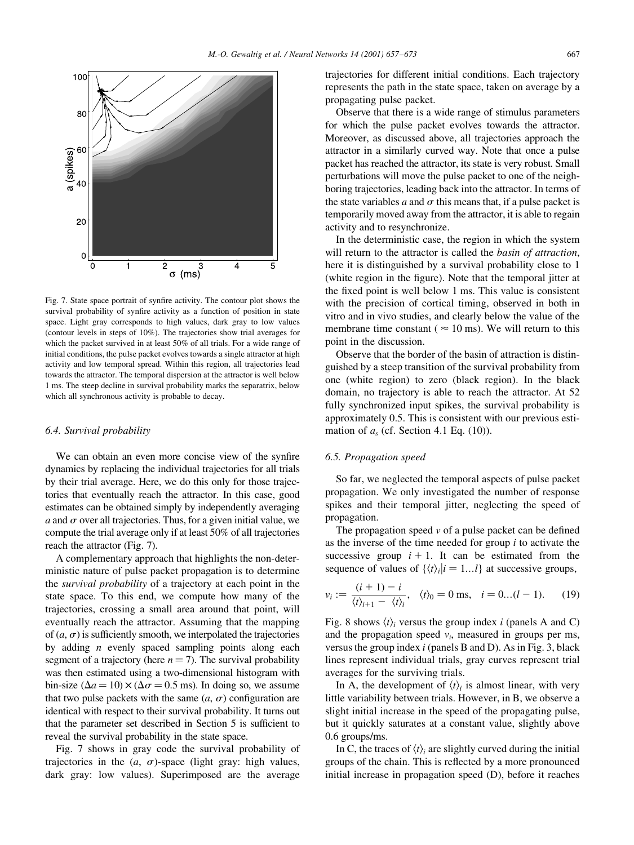

Fig. 7. State space portrait of synfire activity. The contour plot shows the survival probability of synfire activity as a function of position in state space. Light gray corresponds to high values, dark gray to low values (contour levels in steps of  $10\%$ ). The trajectories show trial averages for which the packet survived in at least 50% of all trials. For a wide range of initial conditions, the pulse packet evolves towards a single attractor at high activity and low temporal spread. Within this region, all trajectories lead towards the attractor. The temporal dispersion at the attractor is well below 1 ms. The steep decline in survival probability marks the separatrix, below which all synchronous activity is probable to decay.

### 6.4. Survival probability

We can obtain an even more concise view of the synfire dynamics by replacing the individual trajectories for all trials by their trial average. Here, we do this only for those trajectories that eventually reach the attractor. In this case, good estimates can be obtained simply by independently averaging a and  $\sigma$  over all trajectories. Thus, for a given initial value, we compute the trial average only if at least 50% of all trajectories reach the attractor (Fig. 7).

A complementary approach that highlights the non-deterministic nature of pulse packet propagation is to determine the *survival probability* of a trajectory at each point in the state space. To this end, we compute how many of the trajectories, crossing a small area around that point, will eventually reach the attractor. Assuming that the mapping of  $(a, \sigma)$  is sufficiently smooth, we interpolated the trajectories by adding  $n$  evenly spaced sampling points along each segment of a trajectory (here  $n = 7$ ). The survival probability was then estimated using a two-dimensional histogram with bin-size ( $\Delta a = 10$ )  $\times$  ( $\Delta \sigma = 0.5$  ms). In doing so, we assume that two pulse packets with the same  $(a, \sigma)$  configuration are identical with respect to their survival probability. It turns out that the parameter set described in Section 5 is sufficient to reveal the survival probability in the state space.

Fig. 7 shows in gray code the survival probability of trajectories in the  $(a, \sigma)$ -space (light gray: high values, dark gray: low values). Superimposed are the average

trajectories for different initial conditions. Each trajectory represents the path in the state space, taken on average by a propagating pulse packet.

Observe that there is a wide range of stimulus parameters for which the pulse packet evolves towards the attractor. Moreover, as discussed above, all trajectories approach the attractor in a similarly curved way. Note that once a pulse packet has reached the attractor, its state is very robust. Small perturbations will move the pulse packet to one of the neighboring trajectories, leading back into the attractor. In terms of the state variables a and  $\sigma$  this means that, if a pulse packet is temporarily moved away from the attractor, it is able to regain activity and to resynchronize.

In the deterministic case, the region in which the system will return to the attractor is called the *basin of attraction*, here it is distinguished by a survival probability close to 1 (white region in the figure). Note that the temporal jitter at the fixed point is well below 1 ms. This value is consistent with the precision of cortical timing, observed in both in vitro and in vivo studies, and clearly below the value of the membrane time constant ( $\approx 10$  ms). We will return to this point in the discussion.

Observe that the border of the basin of attraction is distinguished by a steep transition of the survival probability from one (white region) to zero (black region). In the black domain, no trajectory is able to reach the attractor. At 52 fully synchronized input spikes, the survival probability is approximately 0.5. This is consistent with our previous estimation of  $a<sub>s</sub>$  (cf. Section 4.1 Eq. (10)).

# 6.5. Propagation speed

So far, we neglected the temporal aspects of pulse packet propagation. We only investigated the number of response spikes and their temporal jitter, neglecting the speed of propagation.

The propagation speed  $\nu$  of a pulse packet can be defined as the inverse of the time needed for group  $i$  to activate the successive group  $i + 1$ . It can be estimated from the sequence of values of  $\{\langle t \rangle_i | i = 1...l \}$  at successive groups,

$$
v_i := \frac{(i+1)-i}{\langle t \rangle_{i+1} - \langle t \rangle_i}, \quad \langle t \rangle_0 = 0 \text{ ms}, \quad i = 0...(l-1). \tag{19}
$$

Fig. 8 shows  $\langle t \rangle$  versus the group index *i* (panels A and C) and the propagation speed  $v_i$ , measured in groups per ms, versus the group index  $i$  (panels B and D). As in Fig. 3, black lines represent individual trials, gray curves represent trial averages for the surviving trials.

In A, the development of  $\langle t \rangle$  is almost linear, with very little variability between trials. However, in B, we observe a slight initial increase in the speed of the propagating pulse, but it quickly saturates at a constant value, slightly above 0.6 groups/ms.

In C, the traces of  $\langle t \rangle$  are slightly curved during the initial groups of the chain. This is reflected by a more pronounced initial increase in propagation speed (D), before it reaches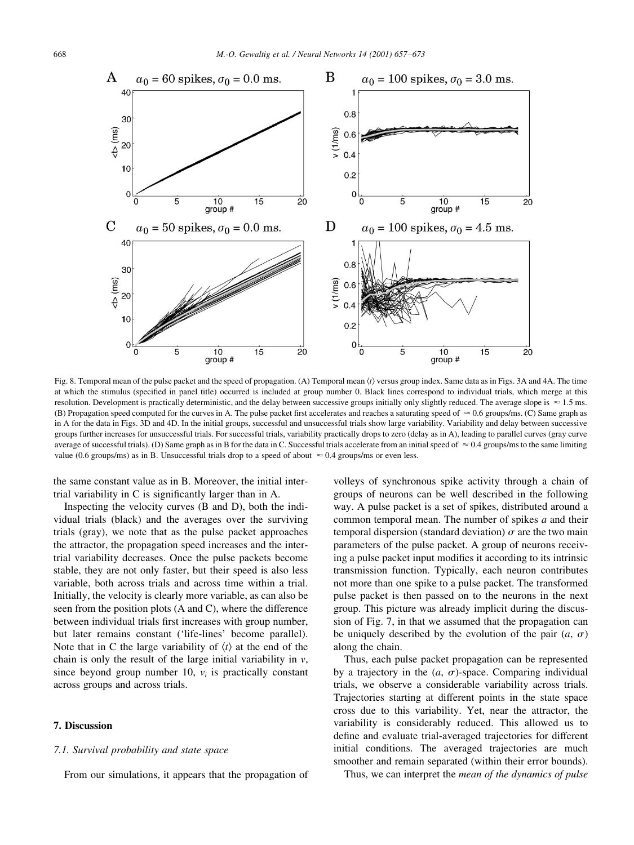

Fig. 8. Temporal mean of the pulse packet and the speed of propagation. (A) Temporal mean  $\langle t \rangle$  versus group index. Same data as in Figs. 3A and 4A. The time at which the stimulus (specified in panel title) occurred is included at group number 0. Black lines correspond to individual trials, which merge at this resolution. Development is practically deterministic, and the delay between successive groups initially only slightly reduced. The average slope is  $\approx 1.5$  ms. (B) Propagation speed computed for the curves in A. The pulse packet first accelerates and reaches a saturating speed of  $\approx 0.6$  groups/ms. (C) Same graph as in A for the data in Figs. 3D and 4D. In the initial groups, successful and unsuccessful trials show large variability. Variability and delay between successive groups further increases for unsuccessful trials. For successful trials, variability practically drops to zero (delay as in A), leading to parallel curves (gray curve average of successful trials). (D) Same graph as in B for the data in C. Successful trials accelerate from an initial speed of  $\approx 0.4$  groups/ms to the same limiting value (0.6 groups/ms) as in B. Unsuccessful trials drop to a speed of about  $\approx 0.4$  groups/ms or even less.

the same constant value as in B. Moreover, the initial intertrial variability in C is significantly larger than in A.

Inspecting the velocity curves (B and D), both the individual trials (black) and the averages over the surviving trials (gray), we note that as the pulse packet approaches the attractor, the propagation speed increases and the intertrial variability decreases. Once the pulse packets become stable, they are not only faster, but their speed is also less variable, both across trials and across time within a trial. Initially, the velocity is clearly more variable, as can also be seen from the position plots (A and C), where the difference between individual trials first increases with group number, but later remains constant ('life-lines' become parallel). Note that in C the large variability of  $\langle t \rangle$  at the end of the chain is only the result of the large initial variability in  $\nu$ , since beyond group number 10,  $v_i$  is practically constant across groups and across trials.

# 7. Discussion

# 7.1. Survival probability and state space

From our simulations, it appears that the propagation of

volleys of synchronous spike activity through a chain of groups of neurons can be well described in the following way. A pulse packet is a set of spikes, distributed around a common temporal mean. The number of spikes  $a$  and their temporal dispersion (standard deviation)  $\sigma$  are the two main parameters of the pulse packet. A group of neurons receiving a pulse packet input modifies it according to its intrinsic transmission function. Typically, each neuron contributes not more than one spike to a pulse packet. The transformed pulse packet is then passed on to the neurons in the next group. This picture was already implicit during the discussion of Fig. 7, in that we assumed that the propagation can be uniquely described by the evolution of the pair  $(a, \sigma)$ along the chain.

Thus, each pulse packet propagation can be represented by a trajectory in the  $(a, \sigma)$ -space. Comparing individual trials, we observe a considerable variability across trials. Trajectories starting at different points in the state space cross due to this variability. Yet, near the attractor, the variability is considerably reduced. This allowed us to define and evaluate trial-averaged trajectories for different initial conditions. The averaged trajectories are much smoother and remain separated (within their error bounds).

Thus, we can interpret the *mean of the dynamics of pulse*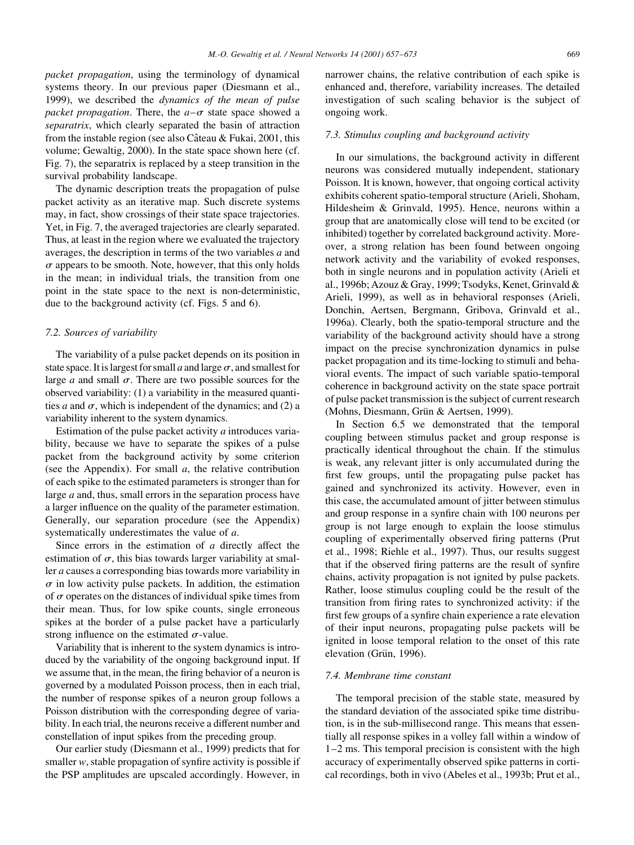*packet propagation*, using the terminology of dynamical systems theory. In our previous paper (Diesmann et al., 1999), we described the *dynamics* of the mean of pulse packet propagation. There, the  $a-\sigma$  state space showed a separatrix, which clearly separated the basin of attraction from the instable region (see also Câteau & Fukai, 2001, this volume; Gewaltig, 2000). In the state space shown here (cf. Fig. 7), the separatrix is replaced by a steep transition in the survival probability landscape.

The dynamic description treats the propagation of pulse packet activity as an iterative map. Such discrete systems may, in fact, show crossings of their state space trajectories. Yet, in Fig. 7, the averaged trajectories are clearly separated. Thus, at least in the region where we evaluated the trajectory averages, the description in terms of the two variables  $a$  and  $\sigma$  appears to be smooth. Note, however, that this only holds in the mean; in individual trials, the transition from one point in the state space to the next is non-deterministic, due to the background activity (cf. Figs. 5 and 6).

# 7.2. Sources of variability

The variability of a pulse packet depends on its position in state space. It is largest for small a and large  $\sigma$ , and smallest for large a and small  $\sigma$ . There are two possible sources for the observed variability: (1) a variability in the measured quantities a and  $\sigma$ , which is independent of the dynamics; and (2) a variability inherent to the system dynamics.

Estimation of the pulse packet activity  $a$  introduces variability, because we have to separate the spikes of a pulse packet from the background activity by some criterion (see the Appendix). For small  $a$ , the relative contribution of each spike to the estimated parameters is stronger than for large  $a$  and, thus, small errors in the separation process have a larger influence on the quality of the parameter estimation. Generally, our separation procedure (see the Appendix) systematically underestimates the value of  $a$ .

Since errors in the estimation of  $a$  directly affect the estimation of  $\sigma$ , this bias towards larger variability at smaller *a* causes a corresponding bias towards more variability in  $\sigma$  in low activity pulse packets. In addition, the estimation of  $\sigma$  operates on the distances of individual spike times from their mean. Thus, for low spike counts, single erroneous spikes at the border of a pulse packet have a particularly strong influence on the estimated  $\sigma$ -value.

Variability that is inherent to the system dynamics is introduced by the variability of the ongoing background input. If we assume that, in the mean, the firing behavior of a neuron is governed by a modulated Poisson process, then in each trial, the number of response spikes of a neuron group follows a Poisson distribution with the corresponding degree of variability. In each trial, the neurons receive a different number and constellation of input spikes from the preceding group.

Our earlier study (Diesmann et al., 1999) predicts that for smaller  $w$ , stable propagation of synfire activity is possible if the PSP amplitudes are upscaled accordingly. However, in

narrower chains, the relative contribution of each spike is enhanced and, therefore, variability increases. The detailed investigation of such scaling behavior is the subject of ongoing work.

#### 7.3. Stimulus coupling and background activity

In our simulations, the background activity in different neurons was considered mutually independent, stationary Poisson. It is known, however, that ongoing cortical activity exhibits coherent spatio-temporal structure (Arieli, Shoham, Hildesheim & Grinvald, 1995). Hence, neurons within a group that are anatomically close will tend to be excited (or inhibited) together by correlated background activity. Moreover, a strong relation has been found between ongoing network activity and the variability of evoked responses, both in single neurons and in population activity (Arieli et al., 1996b; Azouz & Gray, 1999; Tsodyks, Kenet, Grinvald & Arieli, 1999), as well as in behavioral responses (Arieli, Donchin, Aertsen, Bergmann, Gribova, Grinvald et al., 1996a). Clearly, both the spatio-temporal structure and the variability of the background activity should have a strong impact on the precise synchronization dynamics in pulse packet propagation and its time-locking to stimuli and behavioral events. The impact of such variable spatio-temporal coherence in background activity on the state space portrait of pulse packet transmission is the subject of current research (Mohns, Diesmann, Grün & Aertsen, 1999).

In Section 6.5 we demonstrated that the temporal coupling between stimulus packet and group response is practically identical throughout the chain. If the stimulus is weak, any relevant jitter is only accumulated during the first few groups, until the propagating pulse packet has gained and synchronized its activity. However, even in this case, the accumulated amount of jitter between stimulus and group response in a synfire chain with 100 neurons per group is not large enough to explain the loose stimulus coupling of experimentally observed firing patterns (Prut et al., 1998; Riehle et al., 1997). Thus, our results suggest that if the observed firing patterns are the result of synfire chains, activity propagation is not ignited by pulse packets. Rather, loose stimulus coupling could be the result of the transition from firing rates to synchronized activity: if the first few groups of a synfire chain experience a rate elevation of their input neurons, propagating pulse packets will be ignited in loose temporal relation to the onset of this rate elevation (Grün, 1996).

### 7.4. Membrane time constant

The temporal precision of the stable state, measured by the standard deviation of the associated spike time distribution, is in the sub-millisecond range. This means that essentially all response spikes in a volley fall within a window of  $1-2$  ms. This temporal precision is consistent with the high accuracy of experimentally observed spike patterns in cortical recordings, both in vivo (Abeles et al., 1993b; Prut et al.,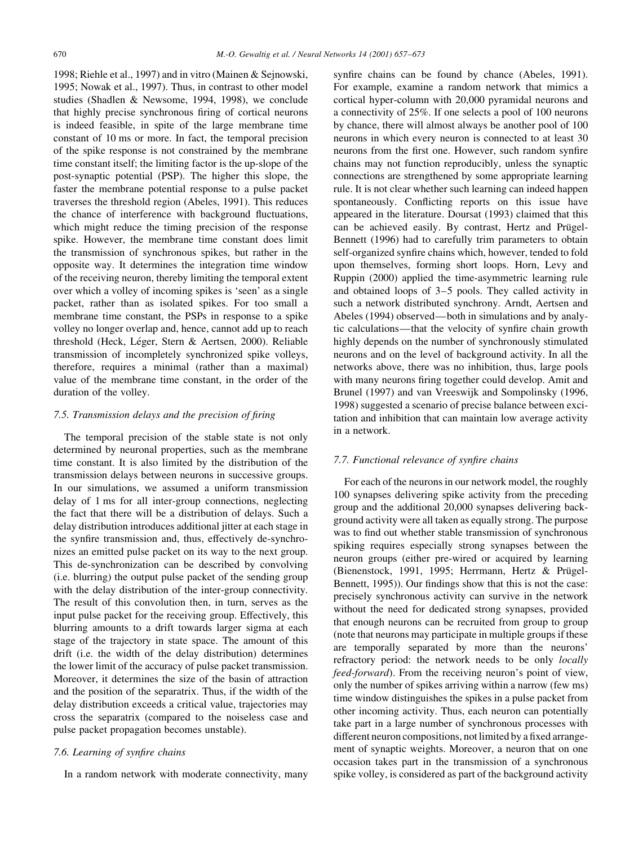1998; Riehle et al., 1997) and in vitro (Mainen & Sejnowski, 1995; Nowak et al., 1997). Thus, in contrast to other model studies (Shadlen & Newsome, 1994, 1998), we conclude that highly precise synchronous firing of cortical neurons is indeed feasible, in spite of the large membrane time constant of 10 ms or more. In fact, the temporal precision of the spike response is not constrained by the membrane time constant itself; the limiting factor is the up-slope of the post-synaptic potential (PSP). The higher this slope, the faster the membrane potential response to a pulse packet traverses the threshold region (Abeles, 1991). This reduces the chance of interference with background fluctuations, which might reduce the timing precision of the response spike. However, the membrane time constant does limit the transmission of synchronous spikes, but rather in the opposite way. It determines the integration time window of the receiving neuron, thereby limiting the temporal extent over which a volley of incoming spikes is 'seen' as a single packet, rather than as isolated spikes. For too small a membrane time constant, the PSPs in response to a spike volley no longer overlap and, hence, cannot add up to reach threshold (Heck, Léger, Stern & Aertsen, 2000). Reliable transmission of incompletely synchronized spike volleys, therefore, requires a minimal (rather than a maximal) value of the membrane time constant, in the order of the duration of the volley.

# 7.5. Transmission delays and the precision of firing

The temporal precision of the stable state is not only determined by neuronal properties, such as the membrane time constant. It is also limited by the distribution of the transmission delays between neurons in successive groups. In our simulations, we assumed a uniform transmission delay of 1 ms for all inter-group connections, neglecting the fact that there will be a distribution of delays. Such a delay distribution introduces additional jitter at each stage in the synfire transmission and, thus, effectively de-synchronizes an emitted pulse packet on its way to the next group. This de-synchronization can be described by convolving (i.e. blurring) the output pulse packet of the sending group with the delay distribution of the inter-group connectivity. The result of this convolution then, in turn, serves as the input pulse packet for the receiving group. Effectively, this blurring amounts to a drift towards larger sigma at each stage of the trajectory in state space. The amount of this drift (i.e. the width of the delay distribution) determines the lower limit of the accuracy of pulse packet transmission. Moreover, it determines the size of the basin of attraction and the position of the separatrix. Thus, if the width of the delay distribution exceeds a critical value, trajectories may cross the separatrix (compared to the noiseless case and pulse packet propagation becomes unstable).

# 7.6. Learning of synfire chains

In a random network with moderate connectivity, many

synfire chains can be found by chance (Abeles, 1991). For example, examine a random network that mimics a cortical hyper-column with 20,000 pyramidal neurons and a connectivity of 25%. If one selects a pool of 100 neurons by chance, there will almost always be another pool of 100 neurons in which every neuron is connected to at least 30 neurons from the first one. However, such random synfire chains may not function reproducibly, unless the synaptic connections are strengthened by some appropriate learning rule. It is not clear whether such learning can indeed happen spontaneously. Conflicting reports on this issue have appeared in the literature. Doursat (1993) claimed that this can be achieved easily. By contrast, Hertz and Prügel-Bennett (1996) had to carefully trim parameters to obtain self-organized synfire chains which, however, tended to fold upon themselves, forming short loops. Horn, Levy and Ruppin (2000) applied the time-asymmetric learning rule and obtained loops of  $3-5$  pools. They called activity in such a network distributed synchrony. Arndt, Aertsen and Abeles (1994) observed—both in simulations and by analytic calculations—that the velocity of synfire chain growth highly depends on the number of synchronously stimulated neurons and on the level of background activity. In all the networks above, there was no inhibition, thus, large pools with many neurons firing together could develop. Amit and Brunel (1997) and van Vreeswijk and Sompolinsky (1996, 1998) suggested a scenario of precise balance between excitation and inhibition that can maintain low average activity in a network.

# 7.7. Functional relevance of synfire chains

For each of the neurons in our network model, the roughly 100 synapses delivering spike activity from the preceding group and the additional 20,000 synapses delivering background activity were all taken as equally strong. The purpose was to find out whether stable transmission of synchronous spiking requires especially strong synapses between the neuron groups (either pre-wired or acquired by learning (Bienenstock, 1991, 1995; Herrmann, Hertz & Prügel-Bennett, 1995)). Our findings show that this is not the case: precisely synchronous activity can survive in the network without the need for dedicated strong synapses, provided that enough neurons can be recruited from group to group (note that neurons may participate in multiple groups if these are temporally separated by more than the neurons' refractory period: the network needs to be only *locally feed-forward*). From the receiving neuron's point of view. only the number of spikes arriving within a narrow (few ms) time window distinguishes the spikes in a pulse packet from other incoming activity. Thus, each neuron can potentially take part in a large number of synchronous processes with different neuron compositions, not limited by a fixed arrangement of synaptic weights. Moreover, a neuron that on one occasion takes part in the transmission of a synchronous spike volley, is considered as part of the background activity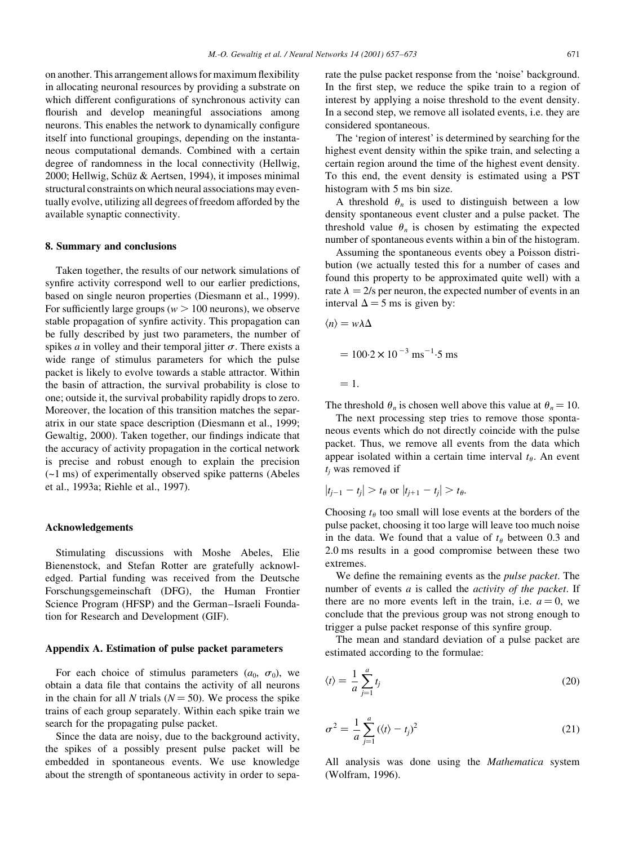on another. This arrangement allows for maximum flexibility in allocating neuronal resources by providing a substrate on which different configurations of synchronous activity can flourish and develop meaningful associations among neurons. This enables the network to dynamically configure itself into functional groupings, depending on the instantaneous computational demands. Combined with a certain degree of randomness in the local connectivity (Hellwig, 2000; Hellwig, Schüz & Aertsen, 1994), it imposes minimal structural constraints on which neural associations may eventually evolve, utilizing all degrees of freedom afforded by the available synaptic connectivity.

#### 8. Summary and conclusions

Taken together, the results of our network simulations of synfire activity correspond well to our earlier predictions. based on single neuron properties (Diesmann et al., 1999). For sufficiently large groups ( $w > 100$  neurons), we observe stable propagation of synfire activity. This propagation can be fully described by just two parameters, the number of spikes *a* in volley and their temporal jitter  $\sigma$ . There exists a wide range of stimulus parameters for which the pulse packet is likely to evolve towards a stable attractor. Within the basin of attraction, the survival probability is close to one; outside it, the survival probability rapidly drops to zero. Moreover, the location of this transition matches the separatrix in our state space description (Diesmann et al., 1999; Gewaltig, 2000). Taken together, our findings indicate that the accuracy of activity propagation in the cortical network is precise and robust enough to explain the precision  $(-1 \text{ ms})$  of experimentally observed spike patterns (Abeles et al., 1993a; Riehle et al., 1997).

# Acknowledgements

Stimulating discussions with Moshe Abeles, Elie Bienenstock, and Stefan Rotter are gratefully acknowledged. Partial funding was received from the Deutsche Forschungsgemeinschaft (DFG), the Human Frontier Science Program (HFSP) and the German-Israeli Foundation for Research and Development (GIF).

# Appendix A. Estimation of pulse packet parameters

For each choice of stimulus parameters  $(a_0, \sigma_0)$ , we obtain a data file that contains the activity of all neurons in the chain for all N trials ( $N = 50$ ). We process the spike trains of each group separately. Within each spike train we search for the propagating pulse packet.

Since the data are noisy, due to the background activity, the spikes of a possibly present pulse packet will be embedded in spontaneous events. We use knowledge about the strength of spontaneous activity in order to separate the pulse packet response from the 'noise' background. In the first step, we reduce the spike train to a region of interest by applying a noise threshold to the event density. In a second step, we remove all isolated events, i.e. they are considered spontaneous.

The 'region of interest' is determined by searching for the highest event density within the spike train, and selecting a certain region around the time of the highest event density. To this end, the event density is estimated using a PST histogram with 5 ms bin size.

A threshold  $\theta_n$  is used to distinguish between a low density spontaneous event cluster and a pulse packet. The threshold value  $\theta_n$  is chosen by estimating the expected number of spontaneous events within a bin of the histogram.

Assuming the spontaneous events obey a Poisson distribution (we actually tested this for a number of cases and found this property to be approximated quite well) with a rate  $\lambda = 2/s$  per neuron, the expected number of events in an interval  $\Delta = 5$  ms is given by:

$$
\langle n \rangle = w \lambda \Delta
$$
  
= 100.2 × 10<sup>-3</sup> ms<sup>-1</sup>·5 ms  
= 1.

The threshold  $\theta_n$  is chosen well above this value at  $\theta_n = 10$ .

The next processing step tries to remove those spontaneous events which do not directly coincide with the pulse packet. Thus, we remove all events from the data which appear isolated within a certain time interval  $t_{\theta}$ . An event  $t_i$  was removed if

$$
|t_{j-1} - t_j| > t_\theta
$$
 or  $|t_{j+1} - t_j| > t_\theta$ .

Choosing  $t_{\theta}$  too small will lose events at the borders of the pulse packet, choosing it too large will leave too much noise in the data. We found that a value of  $t_{\theta}$  between 0.3 and 2.0 ms results in a good compromise between these two extremes.

We define the remaining events as the *pulse packet*. The number of events a is called the activity of the packet. If there are no more events left in the train, i.e.  $a = 0$ , we conclude that the previous group was not strong enough to trigger a pulse packet response of this synfire group.

The mean and standard deviation of a pulse packet are estimated according to the formulae:

$$
\langle t \rangle = \frac{1}{a} \sum_{j=1}^{a} t_j \tag{20}
$$

$$
\sigma^2 = \frac{1}{a} \sum_{j=1}^{a} (\langle t \rangle - t_j)^2
$$
 (21)

All analysis was done using the *Mathematica* system (Wolfram, 1996).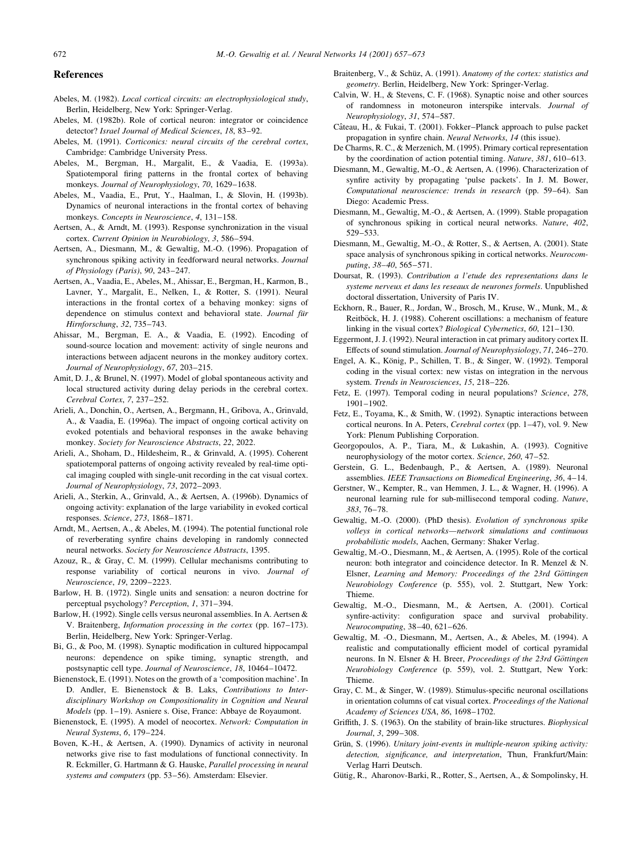#### **References**

- Abeles, M. (1982). Local cortical circuits: an electrophysiological study, Berlin, Heidelberg, New York: Springer-Verlag.
- Abeles, M. (1982b). Role of cortical neuron: integrator or coincidence detector? Israel Journal of Medical Sciences, 18, 83-92.
- Abeles, M. (1991). Corticonics: neural circuits of the cerebral cortex, Cambridge: Cambridge University Press.
- Abeles, M., Bergman, H., Margalit, E., & Vaadia, E. (1993a). Spatiotemporal firing patterns in the frontal cortex of behaving monkeys. Journal of Neurophysiology, 70, 1629-1638.
- Abeles, M., Vaadia, E., Prut, Y., Haalman, I., & Slovin, H. (1993b). Dynamics of neuronal interactions in the frontal cortex of behaving monkeys. Concepts in Neuroscience, 4, 131-158.
- Aertsen, A., & Arndt, M. (1993). Response synchronization in the visual cortex. Current Opinion in Neurobiology, 3, 586-594.
- Aertsen, A., Diesmann, M., & Gewaltig, M.-O. (1996). Propagation of synchronous spiking activity in feedforward neural networks. Journal of Physiology (Paris), 90, 243-247.
- Aertsen, A., Vaadia, E., Abeles, M., Ahissar, E., Bergman, H., Karmon, B., Lavner, Y., Margalit, E., Nelken, I., & Rotter, S. (1991). Neural interactions in the frontal cortex of a behaving monkey: signs of dependence on stimulus context and behavioral state. Journal für Hirnforschung, 32, 735-743.
- Ahissar, M., Bergman, E. A., & Vaadia, E. (1992). Encoding of sound-source location and movement: activity of single neurons and interactions between adjacent neurons in the monkey auditory cortex. Journal of Neurophysiology, 67, 203-215.
- Amit, D. J., & Brunel, N. (1997). Model of global spontaneous activity and local structured activity during delay periods in the cerebral cortex. Cerebral Cortex, 7, 237-252.
- Arieli, A., Donchin, O., Aertsen, A., Bergmann, H., Gribova, A., Grinvald, A., & Vaadia, E. (1996a). The impact of ongoing cortical activity on evoked potentials and behavioral responses in the awake behaving monkey. Society for Neuroscience Abstracts, 22, 2022.
- Arieli, A., Shoham, D., Hildesheim, R., & Grinvald, A. (1995). Coherent spatiotemporal patterns of ongoing activity revealed by real-time optical imaging coupled with single-unit recording in the cat visual cortex. Journal of Neurophysiology, 73, 2072-2093.
- Arieli, A., Sterkin, A., Grinvald, A., & Aertsen, A. (1996b). Dynamics of ongoing activity: explanation of the large variability in evoked cortical responses. Science, 273, 1868-1871.
- Arndt, M., Aertsen, A., & Abeles, M. (1994). The potential functional role of reverberating synfire chains developing in randomly connected neural networks. Society for Neuroscience Abstracts, 1395.
- Azouz, R., & Gray, C. M. (1999). Cellular mechanisms contributing to response variability of cortical neurons in vivo. Journal of Neuroscience, 19, 2209-2223.
- Barlow, H. B. (1972). Single units and sensation: a neuron doctrine for perceptual psychology? Perception, 1, 371-394.
- Barlow, H. (1992). Single cells versus neuronal assemblies. In A. Aertsen & V. Braitenberg, *Information processing in the cortex* (pp. 167–173). Berlin, Heidelberg, New York: Springer-Verlag.
- Bi, G., & Poo, M. (1998). Synaptic modification in cultured hippocampal neurons: dependence on spike timing, synaptic strength, and postsynaptic cell type. Journal of Neuroscience, 18, 10464-10472.
- Bienenstock, E. (1991). Notes on the growth of a 'composition machine'. In D. Andler, E. Bienenstock & B. Laks, Contributions to Interdisciplinary Workshop on Compositionality in Cognition and Neural Models (pp. 1-19). Asniere s. Oise, France: Abbaye de Royaumont.
- Bienenstock, E. (1995). A model of neocortex. Network: Computation in Neural Systems, 6, 179-224.
- Boven, K.-H., & Aertsen, A. (1990). Dynamics of activity in neuronal networks give rise to fast modulations of functional connectivity. In R. Eckmiller, G. Hartmann & G. Hauske, Parallel processing in neural systems and computers (pp. 53-56). Amsterdam: Elsevier.
- Braitenberg, V., & Schüz, A. (1991). Anatomy of the cortex: statistics and geometry. Berlin, Heidelberg, New York: Springer-Verlag.
- Calvin, W. H., & Stevens, C. F. (1968). Synaptic noise and other sources of randomness in motoneuron interspike intervals. Journal of Neurophysiology, 31, 574-587.
- Câteau, H., & Fukai, T. (2001). Fokker-Planck approach to pulse packet propagation in synfire chain. Neural Networks, 14 (this issue).
- De Charms, R. C., & Merzenich, M. (1995). Primary cortical representation by the coordination of action potential timing. Nature, 381, 610-613.
- Diesmann, M., Gewaltig, M.-O., & Aertsen, A. (1996). Characterization of synfire activity by propagating 'pulse packets'. In J. M. Bower, Computational neuroscience: trends in research (pp. 59–64). San Diego: Academic Press.
- Diesmann, M., Gewaltig, M.-O., & Aertsen, A. (1999). Stable propagation of synchronous spiking in cortical neural networks. Nature, 402,  $529 - 533$ .
- Diesmann, M., Gewaltig, M.-O., & Rotter, S., & Aertsen, A. (2001). State space analysis of synchronous spiking in cortical networks. Neurocomputing, 38-40, 565-571.
- Doursat, R. (1993). Contribution a l'etude des representations dans le systeme nerveux et dans les reseaux de neurones formels. Unpublished doctoral dissertation, University of Paris IV.
- Eckhorn, R., Bauer, R., Jordan, W., Brosch, M., Kruse, W., Munk, M., & Reitböck, H. J. (1988). Coherent oscillations: a mechanism of feature linking in the visual cortex? Biological Cybernetics, 60, 121-130.
- Eggermont, J. J. (1992). Neural interaction in cat primary auditory cortex II. Effects of sound stimulation. Journal of Neurophysiology, 71, 246–270.
- Engel, A. K., König, P., Schillen, T. B., & Singer, W. (1992). Temporal coding in the visual cortex: new vistas on integration in the nervous system. Trends in Neurosciences, 15, 218-226.
- Fetz, E. (1997). Temporal coding in neural populations? Science, 278,  $1901 - 1902$ .
- Fetz, E., Toyama, K., & Smith, W. (1992). Synaptic interactions between cortical neurons. In A. Peters, Cerebral cortex (pp. 1-47), vol. 9. New York: Plenum Publishing Corporation.
- Georgopoulos, A. P., Tiara, M., & Lukashin, A. (1993). Cognitive neurophysiology of the motor cortex. Science, 260, 47-52.
- Gerstein, G. L., Bedenbaugh, P., & Aertsen, A. (1989). Neuronal assemblies. IEEE Transactions on Biomedical Engineering, 36, 4-14.
- Gerstner, W., Kempter, R., van Hemmen, J. L., & Wagner, H. (1996). A neuronal learning rule for sub-millisecond temporal coding. Nature, 383.76-78
- Gewaltig, M.-O. (2000). (PhD thesis). Evolution of synchronous spike volleys in cortical networks-network simulations and continuous probabilistic models, Aachen, Germany: Shaker Verlag.
- Gewaltig, M.-O., Diesmann, M., & Aertsen, A. (1995). Role of the cortical neuron: both integrator and coincidence detector. In R. Menzel & N. Elsner, Learning and Memory: Proceedings of the 23rd Göttingen Neurobiology Conference (p. 555), vol. 2. Stuttgart, New York: Thieme.
- Gewaltig, M.-O., Diesmann, M., & Aertsen, A. (2001). Cortical synfire-activity: configuration space and survival probability. Neurocomputing, 38-40, 621-626.
- Gewaltig, M. -O., Diesmann, M., Aertsen, A., & Abeles, M. (1994). A realistic and computationally efficient model of cortical pyramidal neurons. In N. Elsner & H. Breer, Proceedings of the 23rd Göttingen Neurobiology Conference (p. 559), vol. 2. Stuttgart, New York: Thieme.
- Gray, C. M., & Singer, W. (1989). Stimulus-specific neuronal oscillations in orientation columns of cat visual cortex. Proceedings of the National Academy of Sciences USA, 86, 1698-1702.
- Griffith, J. S. (1963). On the stability of brain-like structures. Biophysical Journal, 3, 299-308.
- Grün, S. (1996). Unitary joint-events in multiple-neuron spiking activity: detection, significance, and interpretation, Thun, Frankfurt/Main: Verlag Harri Deutsch.
- Gütig, R., Aharonov-Barki, R., Rotter, S., Aertsen, A., & Sompolinsky, H.